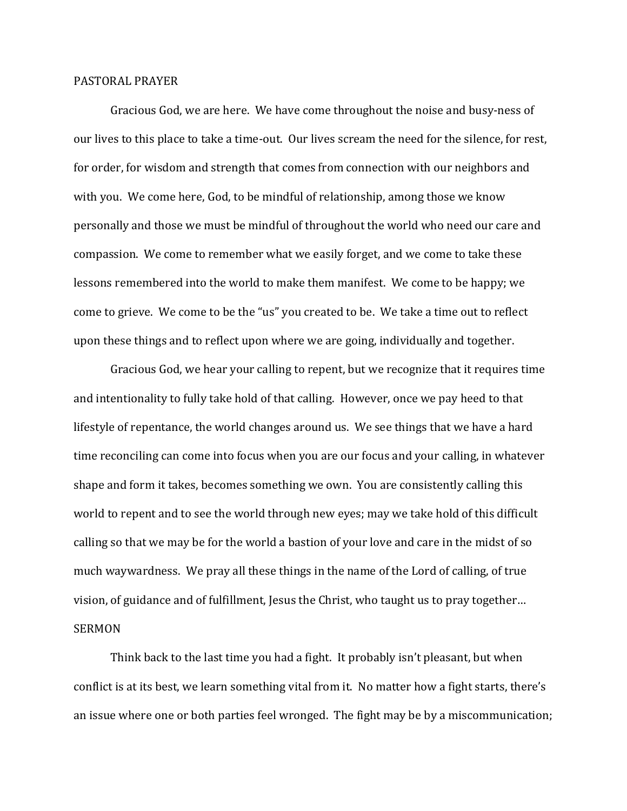## PASTORAL PRAYER

 Gracious God, we are here. We have come throughout the noise and busy-ness of our lives to this place to take a time-out. Our lives scream the need for the silence, for rest, for order, for wisdom and strength that comes from connection with our neighbors and with you. We come here, God, to be mindful of relationship, among those we know personally and those we must be mindful of throughout the world who need our care and compassion. We come to remember what we easily forget, and we come to take these lessons remembered into the world to make them manifest. We come to be happy; we come to grieve. We come to be the "us" you created to be. We take a time out to reflect upon these things and to reflect upon where we are going, individually and together.

 Gracious God, we hear your calling to repent, but we recognize that it requires time and intentionality to fully take hold of that calling. However, once we pay heed to that lifestyle of repentance, the world changes around us. We see things that we have a hard time reconciling can come into focus when you are our focus and your calling, in whatever shape and form it takes, becomes something we own. You are consistently calling this world to repent and to see the world through new eyes; may we take hold of this difficult calling so that we may be for the world a bastion of your love and care in the midst of so much waywardness. We pray all these things in the name of the Lord of calling, of true vision, of guidance and of fulfillment, Jesus the Christ, who taught us to pray together… SERMON

 Think back to the last time you had a fight. It probably isn't pleasant, but when conflict is at its best, we learn something vital from it. No matter how a fight starts, there's an issue where one or both parties feel wronged. The fight may be by a miscommunication;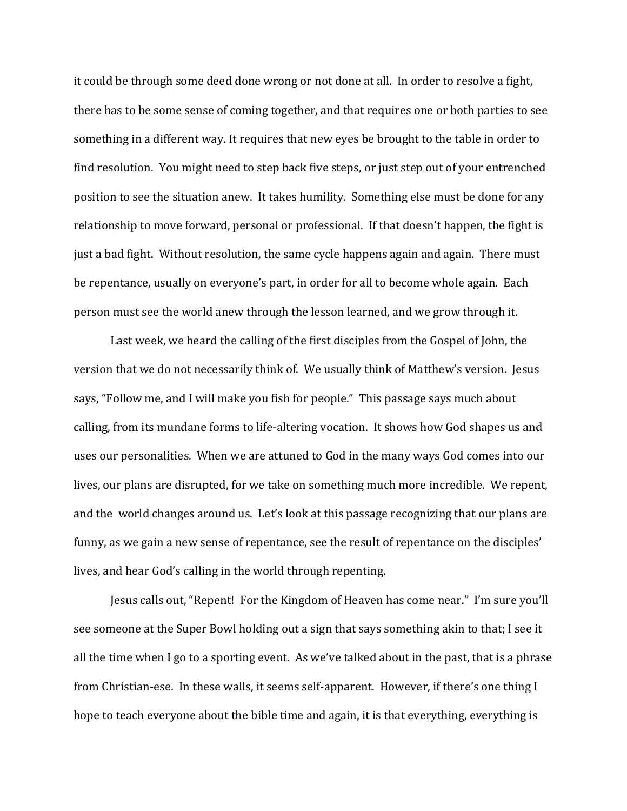it could be through some deed done wrong or not done at all. In order to resolve a fight, there has to be some sense of coming together, and that requires one or both parties to see something in a different way. It requires that new eyes be brought to the table in order to find resolution. You might need to step back five steps, or just step out of your entrenched position to see the situation anew. It takes humility. Something else must be done for any relationship to move forward, personal or professional. If that doesn't happen, the fight is just a bad fight. Without resolution, the same cycle happens again and again. There must be repentance, usually on everyone's part, in order for all to become whole again. Each person must see the world anew through the lesson learned, and we grow through it.

Last week, we heard the calling of the first disciples from the Gospel of John, the version that we do not necessarily think of. We usually think of Matthew's version. Jesus says, "Follow me, and I will make you fish for people." This passage says much about calling, from its mundane forms to life-altering vocation. It shows how God shapes us and uses our personalities. When we are attuned to God in the many ways God comes into our lives, our plans are disrupted, for we take on something much more incredible. We repent, and the world changes around us. Let's look at this passage recognizing that our plans are funny, as we gain a new sense of repentance, see the result of repentance on the disciples' lives, and hear God's calling in the world through repenting.

Jesus calls out, "Repent! For the Kingdom of Heaven has come near." I'm sure you'll see someone at the Super Bowl holding out a sign that says something akin to that; I see it all the time when I go to a sporting event. As we've talked about in the past, that is a phrase from Christian-ese. In these walls, it seems self-apparent. However, if there's one thing I hope to teach everyone about the bible time and again, it is that everything, everything is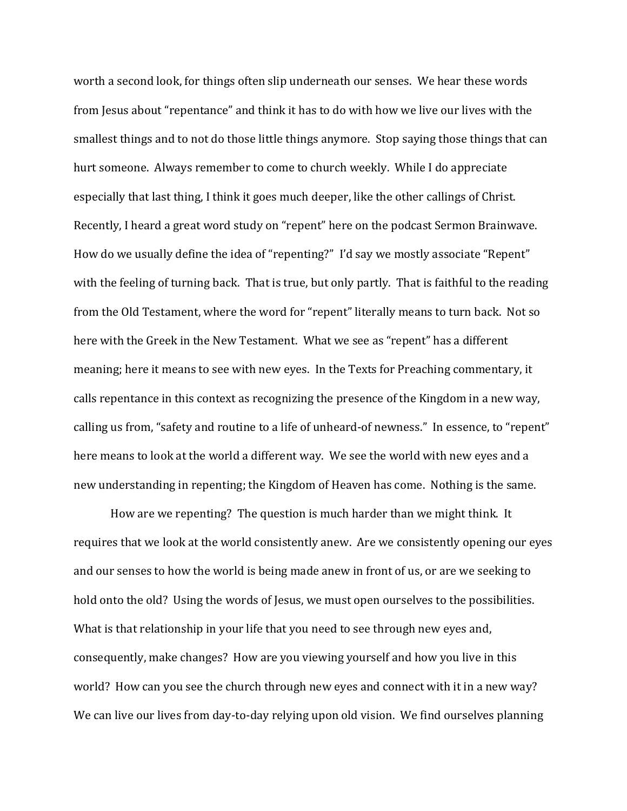worth a second look, for things often slip underneath our senses. We hear these words from Jesus about "repentance" and think it has to do with how we live our lives with the smallest things and to not do those little things anymore. Stop saying those things that can hurt someone. Always remember to come to church weekly. While I do appreciate especially that last thing, I think it goes much deeper, like the other callings of Christ. Recently, I heard a great word study on "repent" here on the podcast Sermon Brainwave. How do we usually define the idea of "repenting?" I'd say we mostly associate "Repent" with the feeling of turning back. That is true, but only partly. That is faithful to the reading from the Old Testament, where the word for "repent" literally means to turn back. Not so here with the Greek in the New Testament. What we see as "repent" has a different meaning; here it means to see with new eyes. In the Texts for Preaching commentary, it calls repentance in this context as recognizing the presence of the Kingdom in a new way, calling us from, "safety and routine to a life of unheard-of newness." In essence, to "repent" here means to look at the world a different way. We see the world with new eyes and a new understanding in repenting; the Kingdom of Heaven has come. Nothing is the same.

 How are we repenting? The question is much harder than we might think. It requires that we look at the world consistently anew. Are we consistently opening our eyes and our senses to how the world is being made anew in front of us, or are we seeking to hold onto the old? Using the words of Jesus, we must open ourselves to the possibilities. What is that relationship in your life that you need to see through new eyes and, consequently, make changes? How are you viewing yourself and how you live in this world? How can you see the church through new eyes and connect with it in a new way? We can live our lives from day-to-day relying upon old vision. We find ourselves planning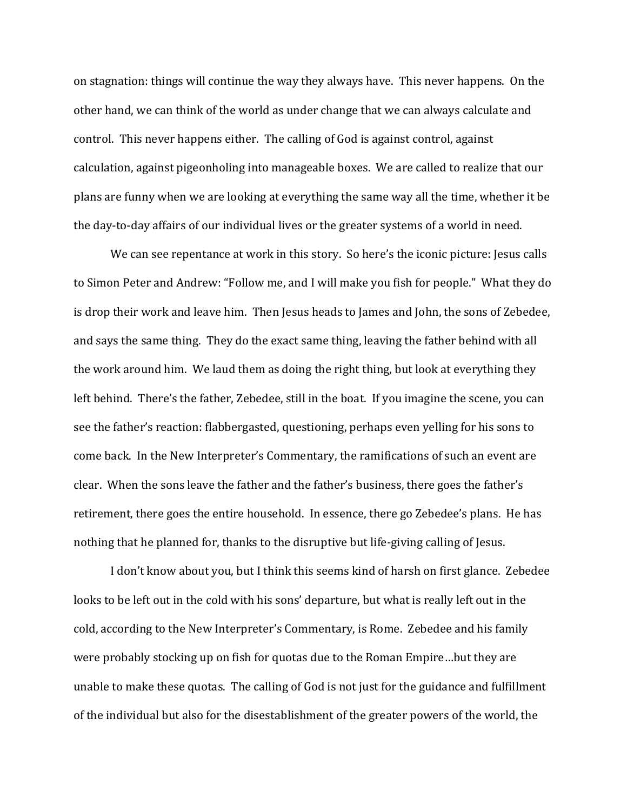on stagnation: things will continue the way they always have. This never happens. On the other hand, we can think of the world as under change that we can always calculate and control. This never happens either. The calling of God is against control, against calculation, against pigeonholing into manageable boxes. We are called to realize that our plans are funny when we are looking at everything the same way all the time, whether it be the day-to-day affairs of our individual lives or the greater systems of a world in need.

 We can see repentance at work in this story. So here's the iconic picture: Jesus calls to Simon Peter and Andrew: "Follow me, and I will make you fish for people." What they do is drop their work and leave him. Then Jesus heads to James and John, the sons of Zebedee, and says the same thing. They do the exact same thing, leaving the father behind with all the work around him. We laud them as doing the right thing, but look at everything they left behind. There's the father, Zebedee, still in the boat. If you imagine the scene, you can see the father's reaction: flabbergasted, questioning, perhaps even yelling for his sons to come back. In the New Interpreter's Commentary, the ramifications of such an event are clear. When the sons leave the father and the father's business, there goes the father's retirement, there goes the entire household. In essence, there go Zebedee's plans. He has nothing that he planned for, thanks to the disruptive but life-giving calling of Jesus.

 I don't know about you, but I think this seems kind of harsh on first glance. Zebedee looks to be left out in the cold with his sons' departure, but what is really left out in the cold, according to the New Interpreter's Commentary, is Rome. Zebedee and his family were probably stocking up on fish for quotas due to the Roman Empire…but they are unable to make these quotas. The calling of God is not just for the guidance and fulfillment of the individual but also for the disestablishment of the greater powers of the world, the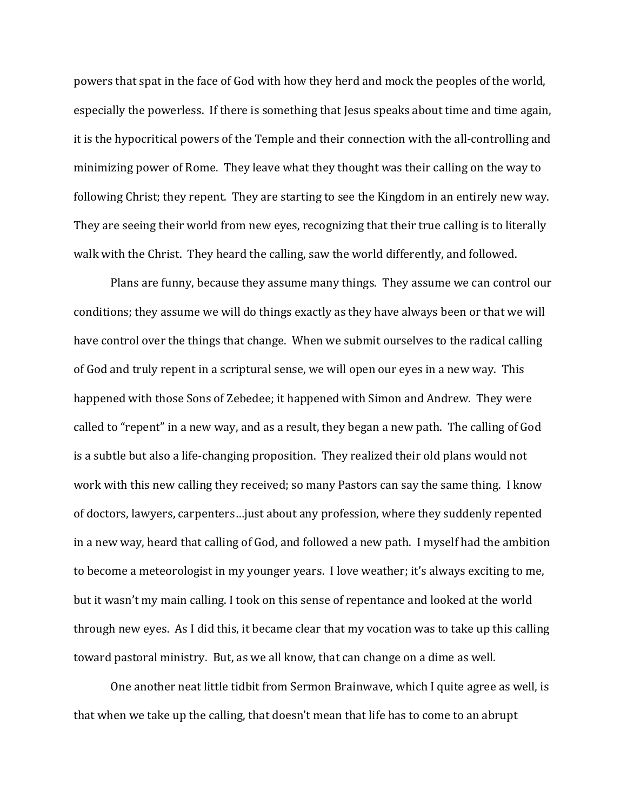powers that spat in the face of God with how they herd and mock the peoples of the world, especially the powerless. If there is something that Jesus speaks about time and time again, it is the hypocritical powers of the Temple and their connection with the all-controlling and minimizing power of Rome. They leave what they thought was their calling on the way to following Christ; they repent. They are starting to see the Kingdom in an entirely new way. They are seeing their world from new eyes, recognizing that their true calling is to literally walk with the Christ. They heard the calling, saw the world differently, and followed.

 Plans are funny, because they assume many things. They assume we can control our conditions; they assume we will do things exactly as they have always been or that we will have control over the things that change. When we submit ourselves to the radical calling of God and truly repent in a scriptural sense, we will open our eyes in a new way. This happened with those Sons of Zebedee; it happened with Simon and Andrew. They were called to "repent" in a new way, and as a result, they began a new path. The calling of God is a subtle but also a life-changing proposition. They realized their old plans would not work with this new calling they received; so many Pastors can say the same thing. I know of doctors, lawyers, carpenters…just about any profession, where they suddenly repented in a new way, heard that calling of God, and followed a new path. I myself had the ambition to become a meteorologist in my younger years. I love weather; it's always exciting to me, but it wasn't my main calling. I took on this sense of repentance and looked at the world through new eyes. As I did this, it became clear that my vocation was to take up this calling toward pastoral ministry. But, as we all know, that can change on a dime as well.

 One another neat little tidbit from Sermon Brainwave, which I quite agree as well, is that when we take up the calling, that doesn't mean that life has to come to an abrupt